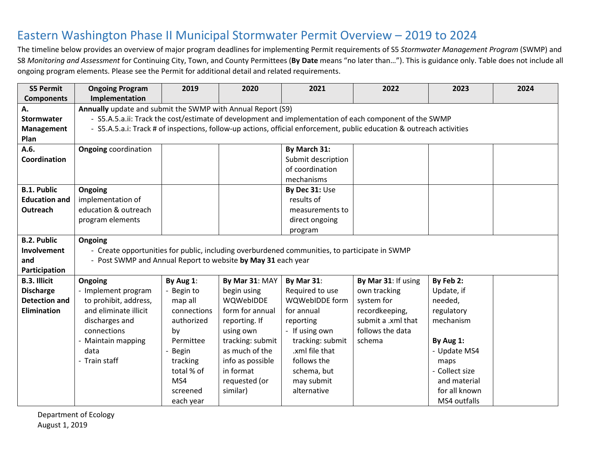## Eastern Washington Phase II Municipal Stormwater Permit Overview – 2019 to 2024

The timeline below provides an overview of major program deadlines for implementing Permit requirements of S5 *Stormwater Management Program* (SWMP) and S8 *Monitoring and Assessment* for Continuing City, Town, and County Permittees (**By Date** means "no later than…"). This is guidance only. Table does not include all ongoing program elements. Please see the Permit for additional detail and related requirements.

| <b>S5 Permit</b>     | <b>Ongoing Program</b>                                                                        | 2019                                                                                                   | 2020             | 2021               | 2022                                                                                                                  | 2023           | 2024 |
|----------------------|-----------------------------------------------------------------------------------------------|--------------------------------------------------------------------------------------------------------|------------------|--------------------|-----------------------------------------------------------------------------------------------------------------------|----------------|------|
| <b>Components</b>    | Implementation                                                                                |                                                                                                        |                  |                    |                                                                                                                       |                |      |
| Α.                   |                                                                                               | Annually update and submit the SWMP with Annual Report (S9)                                            |                  |                    |                                                                                                                       |                |      |
| Stormwater           |                                                                                               | - S5.A.5.a.ii: Track the cost/estimate of development and implementation of each component of the SWMP |                  |                    |                                                                                                                       |                |      |
| Management           |                                                                                               |                                                                                                        |                  |                    | - S5.A.5.a.i: Track # of inspections, follow-up actions, official enforcement, public education & outreach activities |                |      |
| Plan                 |                                                                                               |                                                                                                        |                  |                    |                                                                                                                       |                |      |
| A.6.                 | <b>Ongoing</b> coordination                                                                   |                                                                                                        |                  | By March 31:       |                                                                                                                       |                |      |
| Coordination         |                                                                                               |                                                                                                        |                  | Submit description |                                                                                                                       |                |      |
|                      |                                                                                               |                                                                                                        |                  | of coordination    |                                                                                                                       |                |      |
|                      |                                                                                               |                                                                                                        |                  | mechanisms         |                                                                                                                       |                |      |
| <b>B.1. Public</b>   | Ongoing                                                                                       |                                                                                                        |                  | By Dec 31: Use     |                                                                                                                       |                |      |
| <b>Education and</b> | implementation of                                                                             |                                                                                                        |                  | results of         |                                                                                                                       |                |      |
| Outreach             | education & outreach                                                                          |                                                                                                        |                  | measurements to    |                                                                                                                       |                |      |
|                      | program elements                                                                              |                                                                                                        |                  | direct ongoing     |                                                                                                                       |                |      |
|                      |                                                                                               |                                                                                                        |                  | program            |                                                                                                                       |                |      |
| <b>B.2. Public</b>   | Ongoing                                                                                       |                                                                                                        |                  |                    |                                                                                                                       |                |      |
| Involvement          | - Create opportunities for public, including overburdened communities, to participate in SWMP |                                                                                                        |                  |                    |                                                                                                                       |                |      |
| and                  | - Post SWMP and Annual Report to website by May 31 each year                                  |                                                                                                        |                  |                    |                                                                                                                       |                |      |
| Participation        |                                                                                               |                                                                                                        |                  |                    |                                                                                                                       |                |      |
| <b>B.3. Illicit</b>  | Ongoing                                                                                       | By Aug 1:                                                                                              | By Mar 31: MAY   | By Mar 31:         | By Mar 31: If using                                                                                                   | By Feb 2:      |      |
| <b>Discharge</b>     | - Implement program                                                                           | Begin to                                                                                               | begin using      | Required to use    | own tracking                                                                                                          | Update, if     |      |
| <b>Detection and</b> | to prohibit, address,                                                                         | map all                                                                                                | WQWebIDDE        | WQWebIDDE form     | system for                                                                                                            | needed,        |      |
| <b>Elimination</b>   | and eliminate illicit                                                                         | connections                                                                                            | form for annual  | for annual         | recordkeeping,                                                                                                        | regulatory     |      |
|                      | discharges and                                                                                | authorized                                                                                             | reporting. If    | reporting          | submit a .xml that                                                                                                    | mechanism      |      |
|                      | connections                                                                                   | by                                                                                                     | using own        | - If using own     | follows the data                                                                                                      |                |      |
|                      | - Maintain mapping                                                                            | Permittee                                                                                              | tracking: submit | tracking: submit   | schema                                                                                                                | By Aug 1:      |      |
|                      | data                                                                                          | <b>Begin</b>                                                                                           | as much of the   | .xml file that     |                                                                                                                       | - Update MS4   |      |
|                      | - Train staff                                                                                 | tracking                                                                                               | info as possible | follows the        |                                                                                                                       | maps           |      |
|                      |                                                                                               | total % of                                                                                             | in format        | schema, but        |                                                                                                                       | - Collect size |      |
|                      |                                                                                               | MS4                                                                                                    | requested (or    | may submit         |                                                                                                                       | and material   |      |
|                      |                                                                                               | screened                                                                                               | similar)         | alternative        |                                                                                                                       | for all known  |      |
|                      |                                                                                               | each year                                                                                              |                  |                    |                                                                                                                       | MS4 outfalls   |      |

Department of Ecology August 1, 2019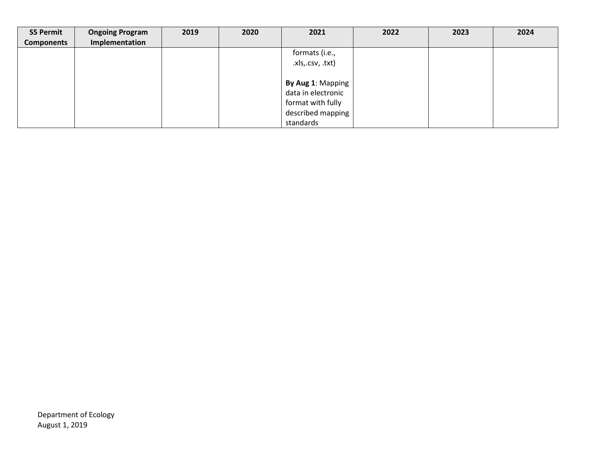| <b>S5 Permit</b>  | <b>Ongoing Program</b> | 2019 | 2020 | 2021               | 2022 | 2023 | 2024 |
|-------------------|------------------------|------|------|--------------------|------|------|------|
| <b>Components</b> | Implementation         |      |      |                    |      |      |      |
|                   |                        |      |      | formats (i.e.,     |      |      |      |
|                   |                        |      |      | .xls,.csv, .txt)   |      |      |      |
|                   |                        |      |      |                    |      |      |      |
|                   |                        |      |      | By Aug 1: Mapping  |      |      |      |
|                   |                        |      |      | data in electronic |      |      |      |
|                   |                        |      |      | format with fully  |      |      |      |
|                   |                        |      |      | described mapping  |      |      |      |
|                   |                        |      |      | standards          |      |      |      |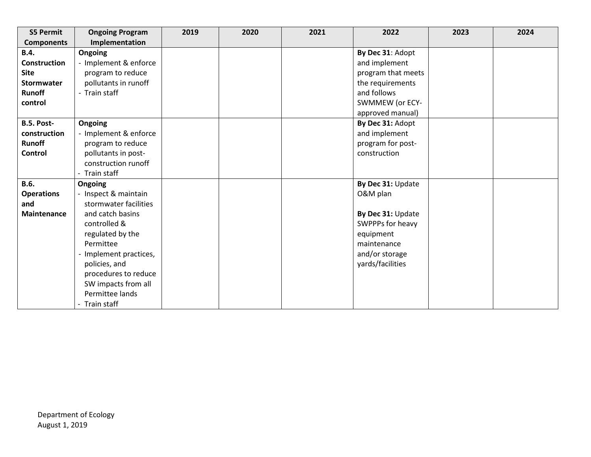| <b>S5 Permit</b>    | <b>Ongoing Program</b> | 2019 | 2020 | 2021 | 2022               | 2023 | 2024 |
|---------------------|------------------------|------|------|------|--------------------|------|------|
| <b>Components</b>   | Implementation         |      |      |      |                    |      |      |
| <b>B.4.</b>         | Ongoing                |      |      |      | By Dec 31: Adopt   |      |      |
| <b>Construction</b> | - Implement & enforce  |      |      |      | and implement      |      |      |
| <b>Site</b>         | program to reduce      |      |      |      | program that meets |      |      |
| Stormwater          | pollutants in runoff   |      |      |      | the requirements   |      |      |
| <b>Runoff</b>       | - Train staff          |      |      |      | and follows        |      |      |
| control             |                        |      |      |      | SWMMEW (or ECY-    |      |      |
|                     |                        |      |      |      | approved manual)   |      |      |
| B.5. Post-          | Ongoing                |      |      |      | By Dec 31: Adopt   |      |      |
| construction        | - Implement & enforce  |      |      |      | and implement      |      |      |
| <b>Runoff</b>       | program to reduce      |      |      |      | program for post-  |      |      |
| Control             | pollutants in post-    |      |      |      | construction       |      |      |
|                     | construction runoff    |      |      |      |                    |      |      |
|                     | - Train staff          |      |      |      |                    |      |      |
| <b>B.6.</b>         | Ongoing                |      |      |      | By Dec 31: Update  |      |      |
| <b>Operations</b>   | - Inspect & maintain   |      |      |      | O&M plan           |      |      |
| and                 | stormwater facilities  |      |      |      |                    |      |      |
| <b>Maintenance</b>  | and catch basins       |      |      |      | By Dec 31: Update  |      |      |
|                     | controlled &           |      |      |      | SWPPPs for heavy   |      |      |
|                     | regulated by the       |      |      |      | equipment          |      |      |
|                     | Permittee              |      |      |      | maintenance        |      |      |
|                     | Implement practices,   |      |      |      | and/or storage     |      |      |
|                     | policies, and          |      |      |      | yards/facilities   |      |      |
|                     | procedures to reduce   |      |      |      |                    |      |      |
|                     | SW impacts from all    |      |      |      |                    |      |      |
|                     | Permittee lands        |      |      |      |                    |      |      |
|                     | - Train staff          |      |      |      |                    |      |      |